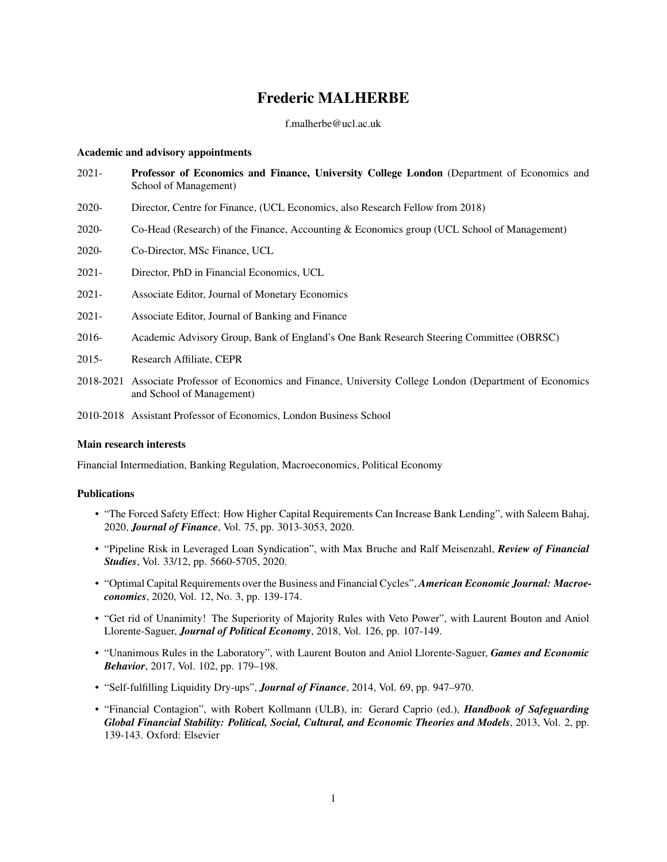# Frederic MALHERBE

#### f.malherbe@ucl.ac.uk

#### Academic and advisory appointments

- 2021- Professor of Economics and Finance, University College London (Department of Economics and School of Management)
- 2020- Director, Centre for Finance, (UCL Economics, also Research Fellow from 2018)
- 2020- Co-Head (Research) of the Finance, Accounting & Economics group (UCL School of Management)
- 2020- Co-Director, MSc Finance, UCL
- 2021- Director, PhD in Financial Economics, UCL
- 2021- Associate Editor, Journal of Monetary Economics
- 2021- Associate Editor, Journal of Banking and Finance
- 2016- Academic Advisory Group, Bank of England's One Bank Research Steering Committee (OBRSC)
- 2015- Research Affiliate, CEPR
- 2018-2021 Associate Professor of Economics and Finance, University College London (Department of Economics and School of Management)
- 2010-2018 Assistant Professor of Economics, London Business School

#### Main research interests

Financial Intermediation, Banking Regulation, Macroeconomics, Political Economy

#### Publications

- "The Forced Safety Effect: How Higher Capital Requirements Can Increase Bank Lending", with Saleem Bahaj, 2020, *Journal of Finance*, Vol. 75, pp. 3013-3053, 2020.
- "Pipeline Risk in Leveraged Loan Syndication", with Max Bruche and Ralf Meisenzahl, *Review of Financial Studies*, Vol. 33/12, pp. 5660-5705, 2020.
- "Optimal Capital Requirements over the Business and Financial Cycles", *American Economic Journal: Macroeconomics*, 2020, Vol. 12, No. 3, pp. 139-174.
- "Get rid of Unanimity! The Superiority of Majority Rules with Veto Power", with Laurent Bouton and Aniol Llorente-Saguer, *Journal of Political Economy*, 2018, Vol. 126, pp. 107-149.
- "Unanimous Rules in the Laboratory", with Laurent Bouton and Aniol Llorente-Saguer, *Games and Economic Behavior*, 2017, Vol. 102, pp. 179–198.
- "Self-fulfilling Liquidity Dry-ups", *Journal of Finance*, 2014, Vol. 69, pp. 947–970.
- "Financial Contagion", with Robert Kollmann (ULB), in: Gerard Caprio (ed.), *Handbook of Safeguarding Global Financial Stability: Political, Social, Cultural, and Economic Theories and Models*, 2013, Vol. 2, pp. 139-143. Oxford: Elsevier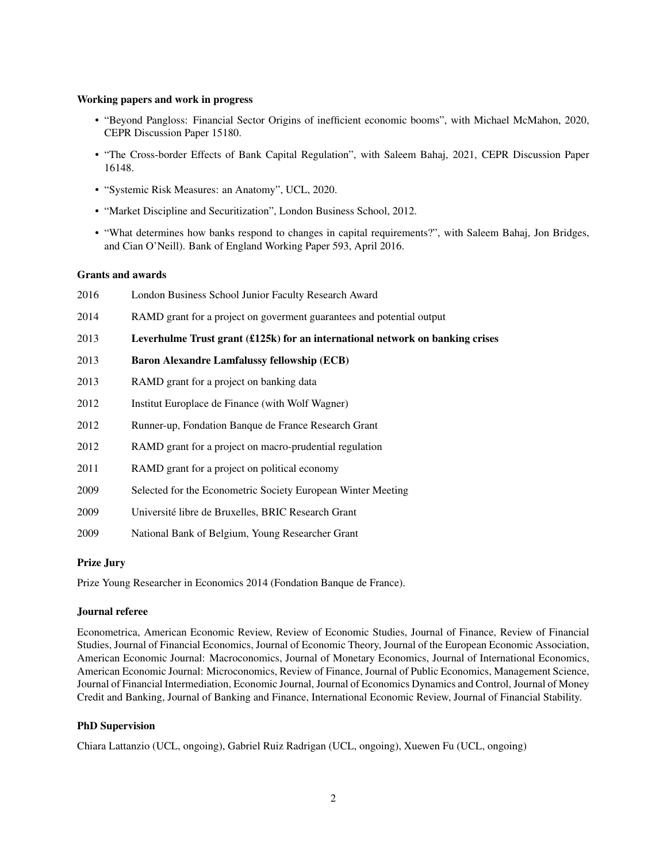#### Working papers and work in progress

- "Beyond Pangloss: Financial Sector Origins of inefficient economic booms", with Michael McMahon, 2020, CEPR Discussion Paper 15180.
- "The Cross-border Effects of Bank Capital Regulation", with Saleem Bahaj, 2021, CEPR Discussion Paper 16148.
- "Systemic Risk Measures: an Anatomy", UCL, 2020.
- "Market Discipline and Securitization", London Business School, 2012.
- "What determines how banks respond to changes in capital requirements?", with Saleem Bahaj, Jon Bridges, and Cian O'Neill). Bank of England Working Paper 593, April 2016.

# Grants and awards

| 2016 | London Business School Junior Faculty Research Award                          |
|------|-------------------------------------------------------------------------------|
| 2014 | RAMD grant for a project on governent guarantees and potential output         |
| 2013 | Leverhulme Trust grant (£125k) for an international network on banking crises |
| 2013 | <b>Baron Alexandre Lamfalussy fellowship (ECB)</b>                            |
| 2013 | RAMD grant for a project on banking data                                      |
| 2012 | Institut Europlace de Finance (with Wolf Wagner)                              |
| 2012 | Runner-up, Fondation Banque de France Research Grant                          |
| 2012 | RAMD grant for a project on macro-prudential regulation                       |
| 2011 | RAMD grant for a project on political economy                                 |
| 2009 | Selected for the Econometric Society European Winter Meeting                  |
| 2009 | Université libre de Bruxelles, BRIC Research Grant                            |
| 2009 | National Bank of Belgium, Young Researcher Grant                              |

# Prize Jury

Prize Young Researcher in Economics 2014 (Fondation Banque de France).

# Journal referee

Econometrica, American Economic Review, Review of Economic Studies, Journal of Finance, Review of Financial Studies, Journal of Financial Economics, Journal of Economic Theory, Journal of the European Economic Association, American Economic Journal: Macroconomics, Journal of Monetary Economics, Journal of International Economics, American Economic Journal: Microconomics, Review of Finance, Journal of Public Economics, Management Science, Journal of Financial Intermediation, Economic Journal, Journal of Economics Dynamics and Control, Journal of Money Credit and Banking, Journal of Banking and Finance, International Economic Review, Journal of Financial Stability.

# PhD Supervision

Chiara Lattanzio (UCL, ongoing), Gabriel Ruiz Radrigan (UCL, ongoing), Xuewen Fu (UCL, ongoing)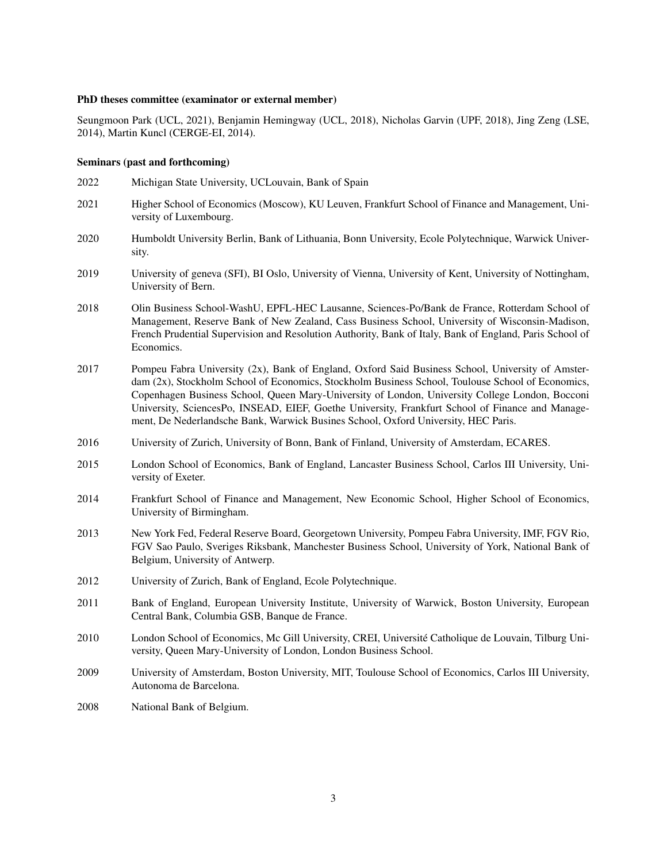#### PhD theses committee (examinator or external member)

Seungmoon Park (UCL, 2021), Benjamin Hemingway (UCL, 2018), Nicholas Garvin (UPF, 2018), Jing Zeng (LSE, 2014), Martin Kuncl (CERGE-EI, 2014).

#### Seminars (past and forthcoming)

- 2022 Michigan State University, UCLouvain, Bank of Spain
- 2021 Higher School of Economics (Moscow), KU Leuven, Frankfurt School of Finance and Management, University of Luxembourg.
- 2020 Humboldt University Berlin, Bank of Lithuania, Bonn University, Ecole Polytechnique, Warwick University.
- 2019 University of geneva (SFI), BI Oslo, University of Vienna, University of Kent, University of Nottingham, University of Bern.
- 2018 Olin Business School-WashU, EPFL-HEC Lausanne, Sciences-Po/Bank de France, Rotterdam School of Management, Reserve Bank of New Zealand, Cass Business School, University of Wisconsin-Madison, French Prudential Supervision and Resolution Authority, Bank of Italy, Bank of England, Paris School of Economics.
- 2017 Pompeu Fabra University (2x), Bank of England, Oxford Said Business School, University of Amsterdam (2x), Stockholm School of Economics, Stockholm Business School, Toulouse School of Economics, Copenhagen Business School, Queen Mary-University of London, University College London, Bocconi University, SciencesPo, INSEAD, EIEF, Goethe University, Frankfurt School of Finance and Management, De Nederlandsche Bank, Warwick Busines School, Oxford University, HEC Paris.
- 2016 University of Zurich, University of Bonn, Bank of Finland, University of Amsterdam, ECARES.
- 2015 London School of Economics, Bank of England, Lancaster Business School, Carlos III University, University of Exeter.
- 2014 Frankfurt School of Finance and Management, New Economic School, Higher School of Economics, University of Birmingham.
- 2013 New York Fed, Federal Reserve Board, Georgetown University, Pompeu Fabra University, IMF, FGV Rio, FGV Sao Paulo, Sveriges Riksbank, Manchester Business School, University of York, National Bank of Belgium, University of Antwerp.
- 2012 University of Zurich, Bank of England, Ecole Polytechnique.
- 2011 Bank of England, European University Institute, University of Warwick, Boston University, European Central Bank, Columbia GSB, Banque de France.
- 2010 London School of Economics, Mc Gill University, CREI, Université Catholique de Louvain, Tilburg University, Queen Mary-University of London, London Business School.
- 2009 University of Amsterdam, Boston University, MIT, Toulouse School of Economics, Carlos III University, Autonoma de Barcelona.
- 2008 National Bank of Belgium.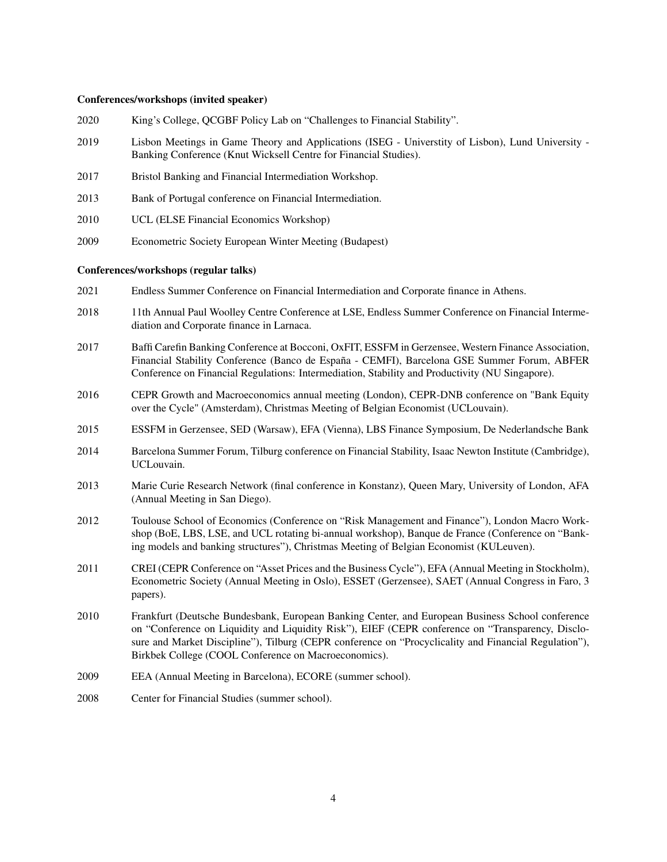#### Conferences/workshops (invited speaker)

- 2020 King's College, QCGBF Policy Lab on "Challenges to Financial Stability".
- 2019 Lisbon Meetings in Game Theory and Applications (ISEG Universtity of Lisbon), Lund University Banking Conference (Knut Wicksell Centre for Financial Studies).
- 2017 Bristol Banking and Financial Intermediation Workshop.
- 2013 Bank of Portugal conference on Financial Intermediation.
- 2010 UCL (ELSE Financial Economics Workshop)
- 2009 Econometric Society European Winter Meeting (Budapest)

#### Conferences/workshops (regular talks)

- 2021 Endless Summer Conference on Financial Intermediation and Corporate finance in Athens.
- 2018 11th Annual Paul Woolley Centre Conference at LSE, Endless Summer Conference on Financial Intermediation and Corporate finance in Larnaca.
- 2017 Baffi Carefin Banking Conference at Bocconi, OxFIT, ESSFM in Gerzensee, Western Finance Association, Financial Stability Conference (Banco de España - CEMFI), Barcelona GSE Summer Forum, ABFER Conference on Financial Regulations: Intermediation, Stability and Productivity (NU Singapore).
- 2016 CEPR Growth and Macroeconomics annual meeting (London), CEPR-DNB conference on "Bank Equity over the Cycle" (Amsterdam), Christmas Meeting of Belgian Economist (UCLouvain).
- 2015 ESSFM in Gerzensee, SED (Warsaw), EFA (Vienna), LBS Finance Symposium, De Nederlandsche Bank
- 2014 Barcelona Summer Forum, Tilburg conference on Financial Stability, Isaac Newton Institute (Cambridge), UCLouvain.
- 2013 Marie Curie Research Network (final conference in Konstanz), Queen Mary, University of London, AFA (Annual Meeting in San Diego).
- 2012 Toulouse School of Economics (Conference on "Risk Management and Finance"), London Macro Workshop (BoE, LBS, LSE, and UCL rotating bi-annual workshop), Banque de France (Conference on "Banking models and banking structures"), Christmas Meeting of Belgian Economist (KULeuven).
- 2011 CREI (CEPR Conference on "Asset Prices and the Business Cycle"), EFA (Annual Meeting in Stockholm), Econometric Society (Annual Meeting in Oslo), ESSET (Gerzensee), SAET (Annual Congress in Faro, 3 papers).
- 2010 Frankfurt (Deutsche Bundesbank, European Banking Center, and European Business School conference on "Conference on Liquidity and Liquidity Risk"), EIEF (CEPR conference on "Transparency, Disclosure and Market Discipline"), Tilburg (CEPR conference on "Procyclicality and Financial Regulation"), Birkbek College (COOL Conference on Macroeconomics).
- 2009 EEA (Annual Meeting in Barcelona), ECORE (summer school).
- 2008 Center for Financial Studies (summer school).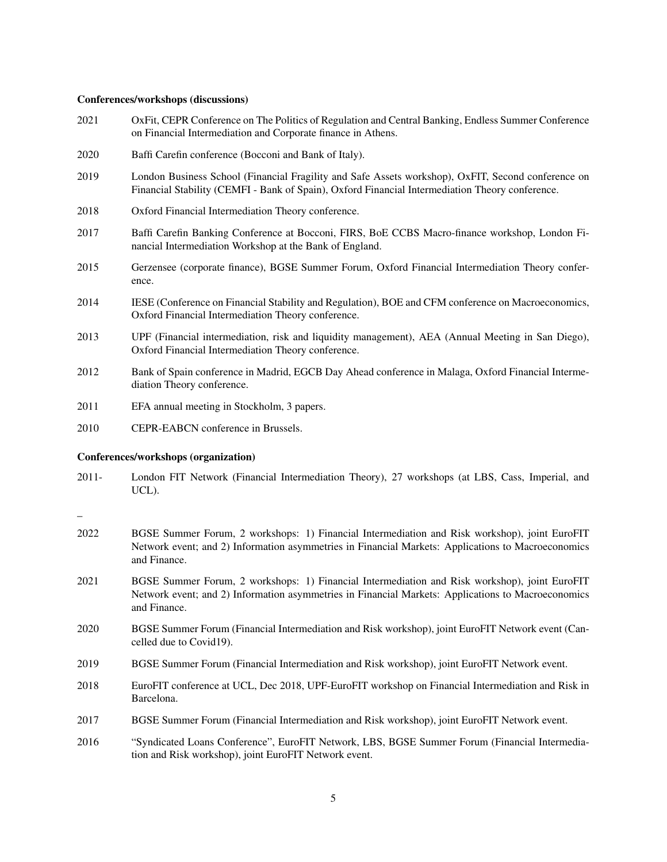#### Conferences/workshops (discussions)

- 2021 OxFit, CEPR Conference on The Politics of Regulation and Central Banking, Endless Summer Conference on Financial Intermediation and Corporate finance in Athens.
- 2020 Baffi Carefin conference (Bocconi and Bank of Italy).
- 2019 London Business School (Financial Fragility and Safe Assets workshop), OxFIT, Second conference on Financial Stability (CEMFI - Bank of Spain), Oxford Financial Intermediation Theory conference.
- 2018 Oxford Financial Intermediation Theory conference.
- 2017 Baffi Carefin Banking Conference at Bocconi, FIRS, BoE CCBS Macro-finance workshop, London Financial Intermediation Workshop at the Bank of England.
- 2015 Gerzensee (corporate finance), BGSE Summer Forum, Oxford Financial Intermediation Theory conference.
- 2014 IESE (Conference on Financial Stability and Regulation), BOE and CFM conference on Macroeconomics, Oxford Financial Intermediation Theory conference.
- 2013 UPF (Financial intermediation, risk and liquidity management), AEA (Annual Meeting in San Diego), Oxford Financial Intermediation Theory conference.
- 2012 Bank of Spain conference in Madrid, EGCB Day Ahead conference in Malaga, Oxford Financial Intermediation Theory conference.
- 2011 EFA annual meeting in Stockholm, 3 papers.
- 2010 CEPR-EABCN conference in Brussels.

#### Conferences/workshops (organization)

2011- London FIT Network (Financial Intermediation Theory), 27 workshops (at LBS, Cass, Imperial, and UCL).

\_

- 2022 BGSE Summer Forum, 2 workshops: 1) Financial Intermediation and Risk workshop), joint EuroFIT Network event; and 2) Information asymmetries in Financial Markets: Applications to Macroeconomics and Finance.
- 2021 BGSE Summer Forum, 2 workshops: 1) Financial Intermediation and Risk workshop), joint EuroFIT Network event; and 2) Information asymmetries in Financial Markets: Applications to Macroeconomics and Finance.
- 2020 BGSE Summer Forum (Financial Intermediation and Risk workshop), joint EuroFIT Network event (Cancelled due to Covid19).
- 2019 BGSE Summer Forum (Financial Intermediation and Risk workshop), joint EuroFIT Network event.
- 2018 EuroFIT conference at UCL, Dec 2018, UPF-EuroFIT workshop on Financial Intermediation and Risk in Barcelona.
- 2017 BGSE Summer Forum (Financial Intermediation and Risk workshop), joint EuroFIT Network event.
- 2016 "Syndicated Loans Conference", EuroFIT Network, LBS, BGSE Summer Forum (Financial Intermediation and Risk workshop), joint EuroFIT Network event.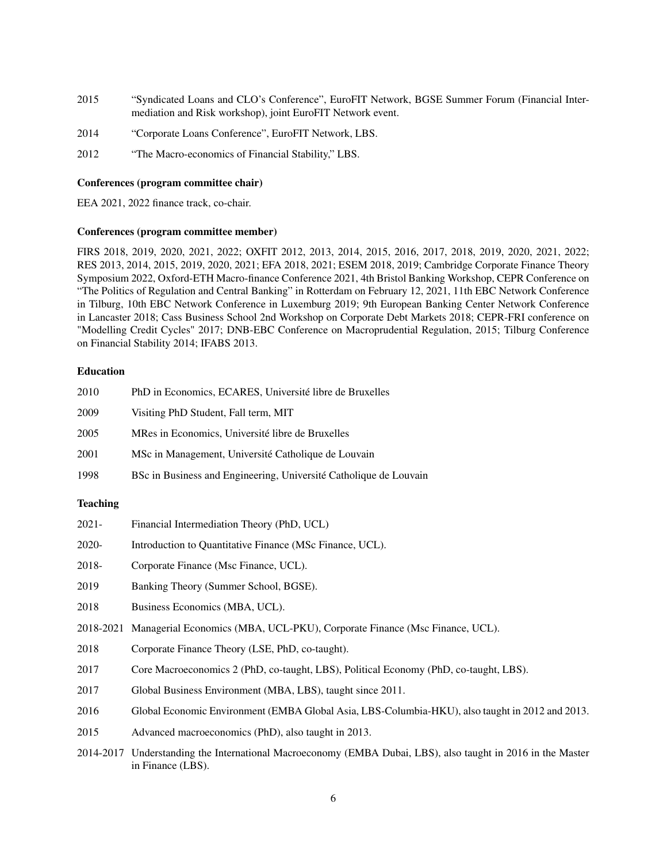- 2015 "Syndicated Loans and CLO's Conference", EuroFIT Network, BGSE Summer Forum (Financial Intermediation and Risk workshop), joint EuroFIT Network event.
- 2014 "Corporate Loans Conference", EuroFIT Network, LBS.
- 2012 "The Macro-economics of Financial Stability," LBS.

#### Conferences (program committee chair)

EEA 2021, 2022 finance track, co-chair.

#### Conferences (program committee member)

FIRS 2018, 2019, 2020, 2021, 2022; OXFIT 2012, 2013, 2014, 2015, 2016, 2017, 2018, 2019, 2020, 2021, 2022; RES 2013, 2014, 2015, 2019, 2020, 2021; EFA 2018, 2021; ESEM 2018, 2019; Cambridge Corporate Finance Theory Symposium 2022, Oxford-ETH Macro-finance Conference 2021, 4th Bristol Banking Workshop, CEPR Conference on "The Politics of Regulation and Central Banking" in Rotterdam on February 12, 2021, 11th EBC Network Conference in Tilburg, 10th EBC Network Conference in Luxemburg 2019; 9th European Banking Center Network Conference in Lancaster 2018; Cass Business School 2nd Workshop on Corporate Debt Markets 2018; CEPR-FRI conference on "Modelling Credit Cycles" 2017; DNB-EBC Conference on Macroprudential Regulation, 2015; Tilburg Conference on Financial Stability 2014; IFABS 2013.

# Education

| 2010 | PhD in Economics, ECARES, Université libre de Bruxelles           |
|------|-------------------------------------------------------------------|
| 2009 | Visiting PhD Student, Fall term, MIT                              |
| 2005 | MRes in Economics, Université libre de Bruxelles                  |
| 2001 | MSc in Management, Université Catholique de Louvain               |
| 1998 | BSc in Business and Engineering, Université Catholique de Louvain |

# **Teaching**

| 2021-     | Financial Intermediation Theory (PhD, UCL)                                                      |
|-----------|-------------------------------------------------------------------------------------------------|
| 2020-     | Introduction to Quantitative Finance (MSc Finance, UCL).                                        |
| 2018-     | Corporate Finance (Msc Finance, UCL).                                                           |
| 2019      | Banking Theory (Summer School, BGSE).                                                           |
| 2018      | Business Economics (MBA, UCL).                                                                  |
| 2018-2021 | Managerial Economics (MBA, UCL-PKU), Corporate Finance (Msc Finance, UCL).                      |
| 2018      | Corporate Finance Theory (LSE, PhD, co-taught).                                                 |
| 2017      | Core Macroeconomics 2 (PhD, co-taught, LBS), Political Economy (PhD, co-taught, LBS).           |
| 2017      | Global Business Environment (MBA, LBS), taught since 2011.                                      |
| 2016      | Global Economic Environment (EMBA Global Asia, LBS-Columbia-HKU), also taught in 2012 and 2013. |
| 2015      | Advanced macroeconomics (PhD), also taught in 2013.                                             |

2014-2017 Understanding the International Macroeconomy (EMBA Dubai, LBS), also taught in 2016 in the Master in Finance (LBS).